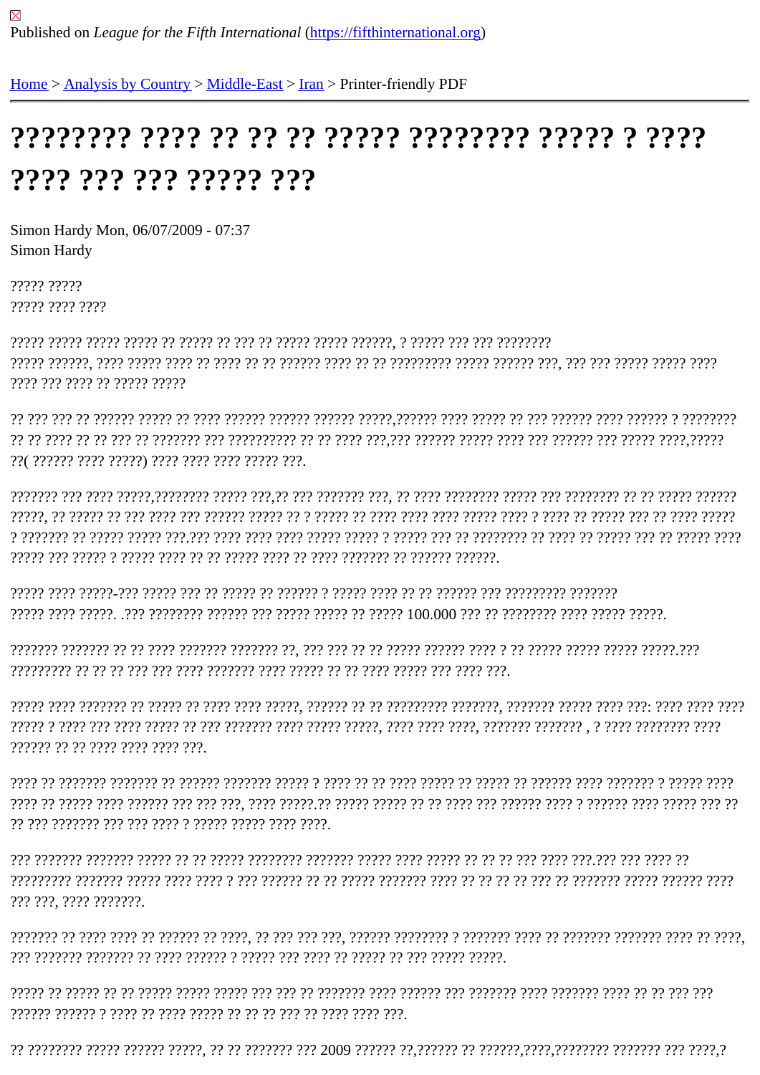# 7777 777 777 77777 777

Simon Hardy Mon, 06/07/2009 - 07:37 Simon Hardy

????? ????? 77777 7777 7777

???? ??? ???? ?? ????? ?????

רְרְרְרְרָךְ רְרְרְרְרָרְרָ רְרָךְ רְרָךְ רְרָרְרָךָ רְרָךְ רְרִרְרָךְ רְרְרִרְרָ רְרָרְרָךְ רְרָרְרָךְ רְרָרְרָךְ רְרָרְרָךָ רְרָרְרָךָ הַלְרָךְ הַלְרָכ 

777777 77 77 7777 7777 7777 777

??? ???, ???? ???????.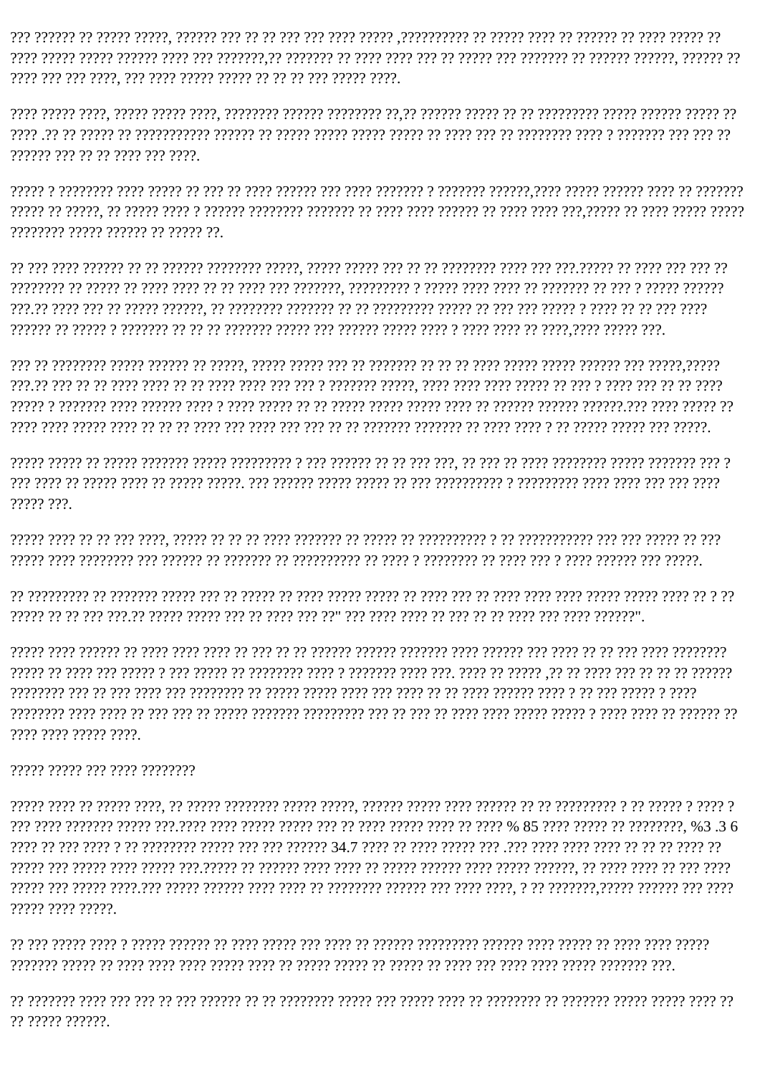ויר ביר ביר ביריכי כי היו בירוף היו ביר ביר ביר ביר בירוי בירוי ביריר ביריר בי בירויר בירירויבי בי ביריר בי בי ?????? ??? ?? ?? ???? ??? ????.

רורורורו רו רורו ברורורו ברבור ברורו ברורור ברורורו ב ברורורו ברור ברור ברורור ברור בר ברור ברורו ברור ברורורור ב ברורו 11111111 11111 111111 11 11111 11

בבכך בכך כך כך כך בכבר ב בכברה בכך בכך כך בכברה בכבריכובר בך כך בכברובר בכברכבר כך בכברים בכבר בך בכך בכבר בכ 

רר ררכרכר כרכר ברך ברכברכך ברכברה ברכברה בך בכרך ברכבר ברכבר ברכבר בר בר ברכבר ברכבר ברכבר ברכבר ברכבר ברכברכב ב ַרְרְרְרָךְ רְרָךָ רְרִרְרָךְ רְרָרְרָךְ רָרְ רִּךְ רִרְרָךְ רִיךְ רִירְרְרָרָךְ רִירְרָרָךְ רִיךְ רִירְרָ רִירְרָ רִירָךְ רִירְרָךְ רִירְרָךְ רִירְרָךְ רִירְרָבְ בְּוֹכְלָב בְּוֹרָבְ רַ

22222.222

ריר רי ריריך ריך ריך רירי ריכולי היו ריך היה ליכולי היו ליכולי היו היריכול לי היו היו ליכול לי היו היו היו הירי רורור בבר בברכבר בכרך ב ברך ברכב בר ברכבוברבר ב בכרך בר ברכבוברכבר בר ברכבובר בר בכרכבר ברך ברכבובר ברכב בכרכב

רו ר רר רכבר בכברה ברכבר בכבר בכבר בכבר כך בכך בכבר כך בכברה בכברה בכבר בר בכברה בר בכך בכברה ברכבר בר בכברבכבר בר 

20000 20 2000 2000 2000 2000 2000 3000 3000 3000 3000 3000 2000 2000 2000 2000 2000 2000 2000 30000 200000 20 ???? ???? ????? ????

# 77777 77777 777 7777 77777777

רך בכבר בך כך כך הרב בכבר בכבר בכך. בכך בכבר בכבר בכך בכבר 1927 בכברבר בכך בכך בכברך בכברכב כך ב-כבר בכך בך בכבר ????? ???? ?????

רירי רירירירירי רירירי ריריר ריריר רירי רירי ריך ריריריר רי רירירי רירירי רי ריריר רירירי ריריר ריריל רירירי ר

רר ררכב בכרכב בכרכב בכרכברכב בר בכרכברכב בר בכרכ בכרכב בכרכב בכרכב בכרכבי כר כך כך בכרכב ברך ככך כרכב בכרכבר בר ?? ????? ??????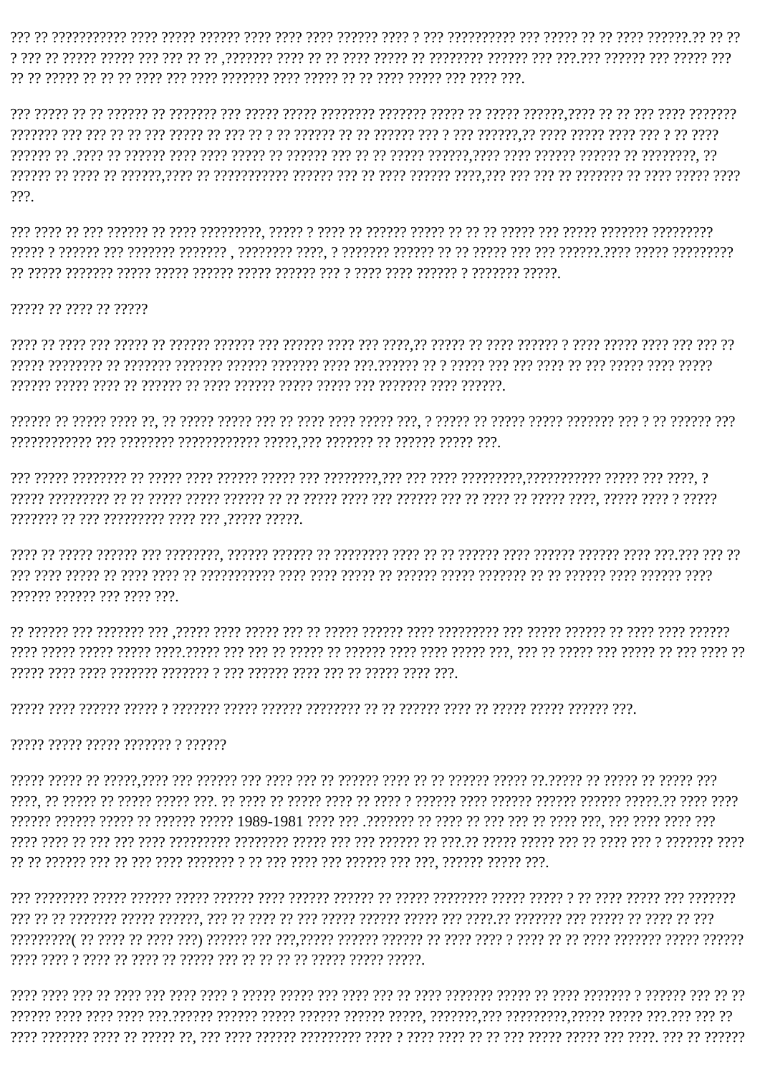???

#### 22222 22 2222 22 22222

רר בכבר בכך בר בכברה בכך בכבר בך בכך. בכך בכברה בכבר בכבר בכבר בכברה בך בכברך בך בכך בכבר בכבר בכברה בכברה בכברה בכבר ַרְרַיְ יִרְיָרָ יִרְרָיִרָ יִרְ יִרְיָרָ יִרְרָיִךְ יִרְרָיִרְיָךְ יִרְרְרָיִרְרָיִךְ יִרְרָיִךְ יִרְרָיָךָ יִרְרָיֹךָ יִרְרָיֹךָ יִרְרָי

### 22222 22222 22222 2222222 222222

רירי בכבכבי בכ בכבכבי בכ בכבכבי כך בכבכבי בכבכבי בכ בכ בכבר בכבכבכי כך בכבר בכבר בכבר בכבר בכבר בכבר בכ בכבכב בכברכ 

ורורר ררכב היסור ריך היו ריך ריך רבי רביר ריך ריך ריך ריך ריך ריכר ברכב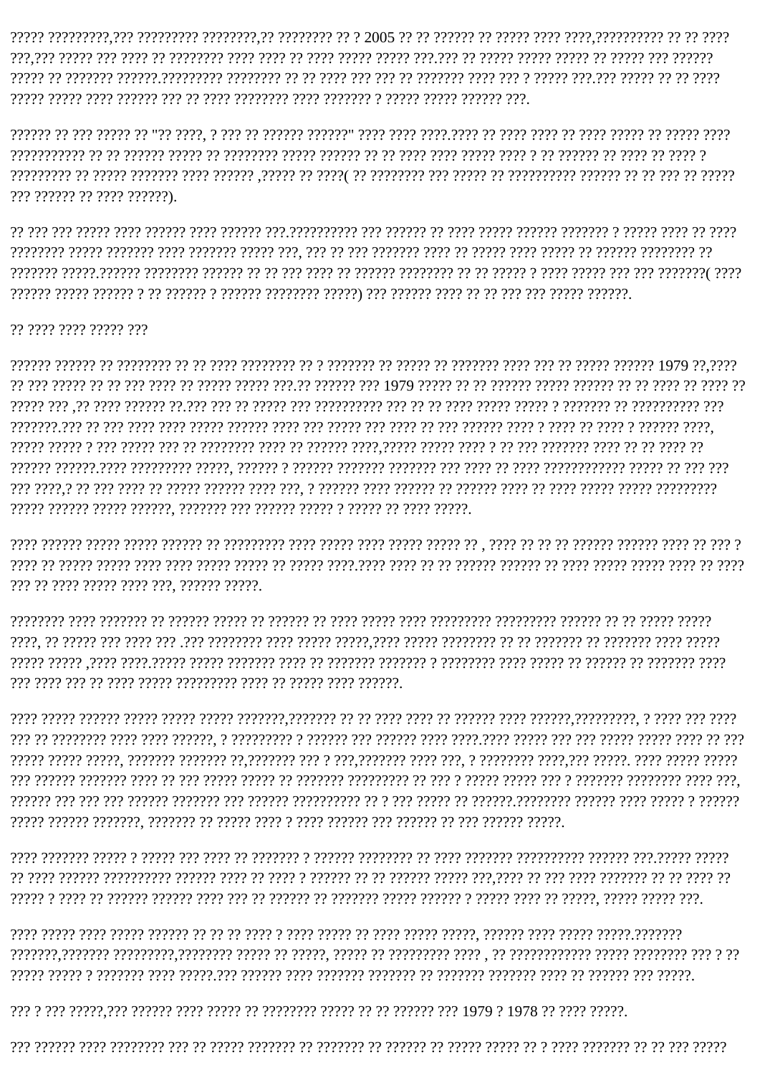??? ?????? ?? ???? ??????).

## 77 7777 7777 77777 777

ריר ריר ריך הריריר רורורורורוריר רורר רי רורר ריר רורורור רורורור רירורר ר רורורך. רורור רורורור רורו, רורור ר 

222.22.2222.22222.2222.222.22222.22222.

רורורו ברכבר בכך בירורור ברכברכברכבר ברכברכב בכרכב בר ברכברכבר ברכברכב ב ברכברכב בר בכרכ ברכבר ב-דרכבר ברכברכב ברכב רויך בברכב בכברב. בכברב בר בכבר בברכב ב בכברכב בכברב בכברכב בר בכברכב בר בכב ברבר בכברכב ברברכב בר בכבר ב בכבר